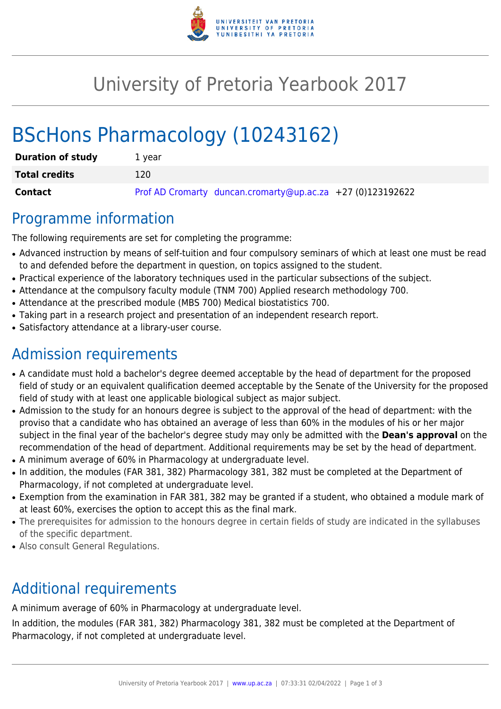

## University of Pretoria Yearbook 2017

# BScHons Pharmacology (10243162)

| <b>Duration of study</b> | 1 vear                                                     |
|--------------------------|------------------------------------------------------------|
| <b>Total credits</b>     | 120                                                        |
| Contact                  | Prof AD Cromarty duncan.cromarty@up.ac.za +27 (0)123192622 |

#### Programme information

The following requirements are set for completing the programme:

- Advanced instruction by means of self-tuition and four compulsory seminars of which at least one must be read to and defended before the department in question, on topics assigned to the student.
- Practical experience of the laboratory techniques used in the particular subsections of the subject.
- Attendance at the compulsory faculty module (TNM 700) Applied research methodology 700.
- Attendance at the prescribed module (MBS 700) Medical biostatistics 700.
- Taking part in a research project and presentation of an independent research report.
- Satisfactory attendance at a library-user course.

## Admission requirements

- A candidate must hold a bachelor's degree deemed acceptable by the head of department for the proposed field of study or an equivalent qualification deemed acceptable by the Senate of the University for the proposed field of study with at least one applicable biological subject as major subject.
- Admission to the study for an honours degree is subject to the approval of the head of department: with the proviso that a candidate who has obtained an average of less than 60% in the modules of his or her major subject in the final year of the bachelor's degree study may only be admitted with the **Dean's approval** on the recommendation of the head of department. Additional requirements may be set by the head of department.
- A minimum average of 60% in Pharmacology at undergraduate level.
- In addition, the modules (FAR 381, 382) Pharmacology 381, 382 must be completed at the Department of Pharmacology, if not completed at undergraduate level.
- Exemption from the examination in FAR 381, 382 may be granted if a student, who obtained a module mark of at least 60%, exercises the option to accept this as the final mark.
- The prerequisites for admission to the honours degree in certain fields of study are indicated in the syllabuses of the specific department.
- Also consult General Regulations.

## Additional requirements

A minimum average of 60% in Pharmacology at undergraduate level.

In addition, the modules (FAR 381, 382) Pharmacology 381, 382 must be completed at the Department of Pharmacology, if not completed at undergraduate level.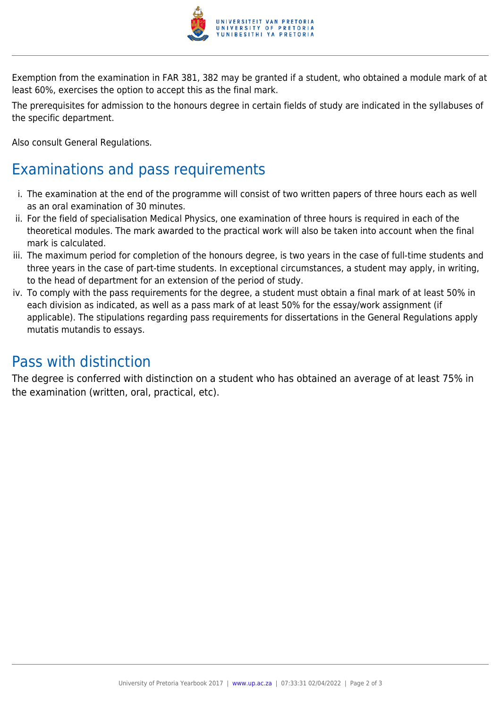

Exemption from the examination in FAR 381, 382 may be granted if a student, who obtained a module mark of at least 60%, exercises the option to accept this as the final mark.

The prerequisites for admission to the honours degree in certain fields of study are indicated in the syllabuses of the specific department.

Also consult General Regulations.

### Examinations and pass requirements

- i. The examination at the end of the programme will consist of two written papers of three hours each as well as an oral examination of 30 minutes.
- ii. For the field of specialisation Medical Physics, one examination of three hours is required in each of the theoretical modules. The mark awarded to the practical work will also be taken into account when the final mark is calculated.
- iii. The maximum period for completion of the honours degree, is two years in the case of full-time students and three years in the case of part-time students. In exceptional circumstances, a student may apply, in writing, to the head of department for an extension of the period of study.
- iv. To comply with the pass requirements for the degree, a student must obtain a final mark of at least 50% in each division as indicated, as well as a pass mark of at least 50% for the essay/work assignment (if applicable). The stipulations regarding pass requirements for dissertations in the General Regulations apply mutatis mutandis to essays.

#### Pass with distinction

The degree is conferred with distinction on a student who has obtained an average of at least 75% in the examination (written, oral, practical, etc).